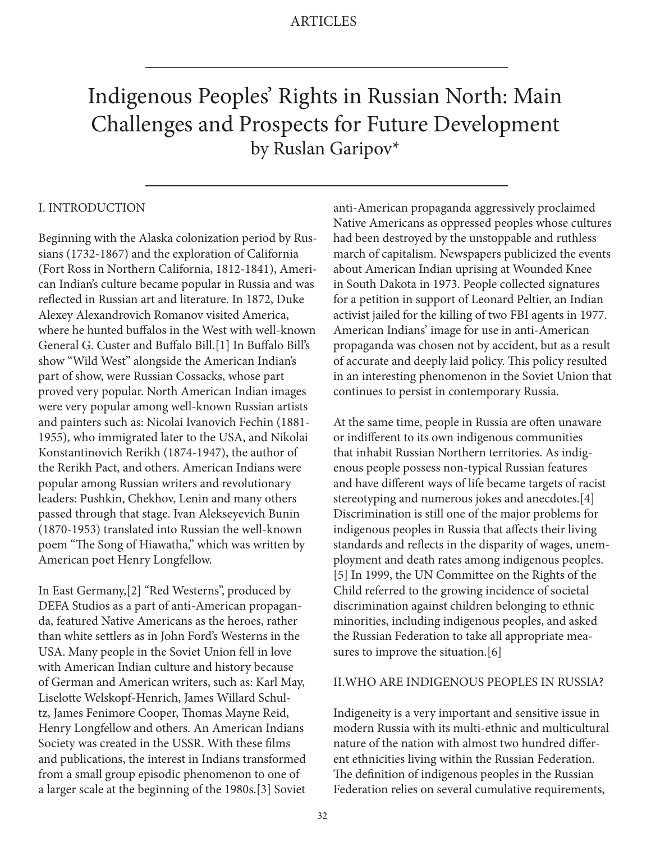# Indigenous Peoples' Rights in Russian North: Main Challenges and Prospects for Future Development by Ruslan Garipov\*

## I. INTRODUCTION

Beginning with the Alaska colonization period by Russians (1732-1867) and the exploration of California (Fort Ross in Northern California, 1812-1841), American Indian's culture became popular in Russia and was reflected in Russian art and literature. In 1872, Duke Alexey Alexandrovich Romanov visited America, where he hunted buffalos in the West with well-known General G. Custer and Buffalo Bill.[1] In Buffalo Bill's show "Wild West" alongside the American Indian's part of show, were Russian Cossacks, whose part proved very popular. North American Indian images were very popular among well-known Russian artists and painters such as: Nicolai Ivanovich Fechin (1881- 1955), who immigrated later to the USA, and Nikolai Konstantinovich Rerikh (1874-1947), the author of the Rerikh Pact, and others. American Indians were popular among Russian writers and revolutionary leaders: Pushkin, Chekhov, Lenin and many others passed through that stage. Ivan Alekseyevich Bunin (1870-1953) translated into Russian the well-known poem "The Song of Hiawatha," which was written by American poet Henry Longfellow.

In East Germany,[2] "Red Westerns", produced by DEFA Studios as a part of anti-American propaganda, featured Native Americans as the heroes, rather than white settlers as in John Ford's Westerns in the USA. Many people in the Soviet Union fell in love with American Indian culture and history because of German and American writers, such as: Karl May, Liselotte Welskopf-Henrich, James Willard Schultz, James Fenimore Cooper, Thomas Mayne Reid, Henry Longfellow and others. An American Indians Society was created in the USSR. With these films and publications, the interest in Indians transformed from a small group episodic phenomenon to one of a larger scale at the beginning of the 1980s.[3] Soviet

anti-American propaganda aggressively proclaimed Native Americans as oppressed peoples whose cultures had been destroyed by the unstoppable and ruthless march of capitalism. Newspapers publicized the events about American Indian uprising at Wounded Knee in South Dakota in 1973. People collected signatures for a petition in support of Leonard Peltier, an Indian activist jailed for the killing of two FBI agents in 1977. American Indians' image for use in anti-American propaganda was chosen not by accident, but as a result of accurate and deeply laid policy. This policy resulted in an interesting phenomenon in the Soviet Union that continues to persist in contemporary Russia.

At the same time, people in Russia are often unaware or indifferent to its own indigenous communities that inhabit Russian Northern territories. As indigenous people possess non-typical Russian features and have different ways of life became targets of racist stereotyping and numerous jokes and anecdotes.[4] Discrimination is still one of the major problems for indigenous peoples in Russia that affects their living standards and reflects in the disparity of wages, unemployment and death rates among indigenous peoples. [5] In 1999, the UN Committee on the Rights of the Child referred to the growing incidence of societal discrimination against children belonging to ethnic minorities, including indigenous peoples, and asked the Russian Federation to take all appropriate measures to improve the situation.[6]

#### II.WHO ARE INDIGENOUS PEOPLES IN RUSSIA?

Indigeneity is a very important and sensitive issue in modern Russia with its multi-ethnic and multicultural nature of the nation with almost two hundred different ethnicities living within the Russian Federation. The definition of indigenous peoples in the Russian Federation relies on several cumulative requirements,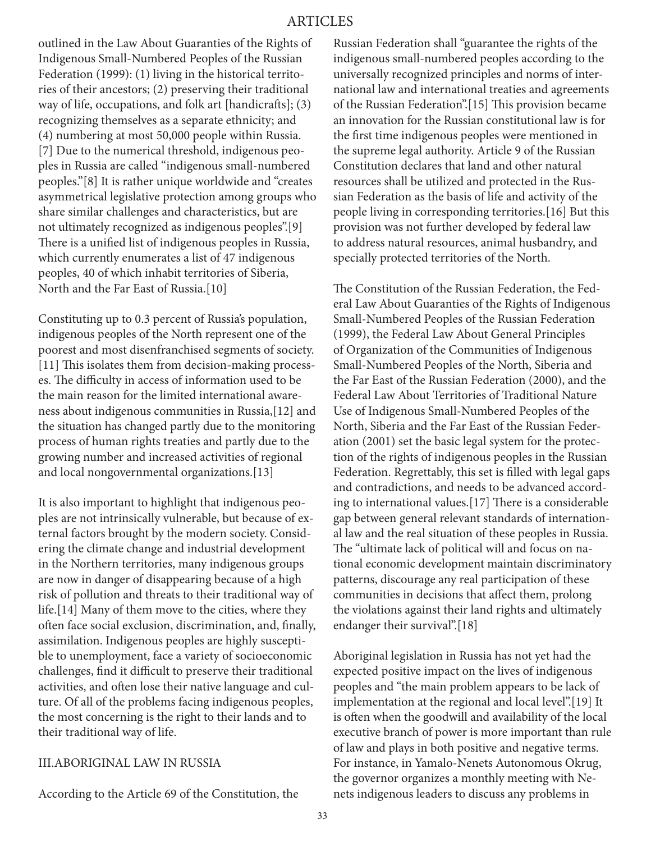outlined in the Law About Guaranties of the Rights of Indigenous Small-Numbered Peoples of the Russian Federation (1999): (1) living in the historical territories of their ancestors; (2) preserving their traditional way of life, occupations, and folk art [handicrafts]; (3) recognizing themselves as a separate ethnicity; and (4) numbering at most 50,000 people within Russia. [7] Due to the numerical threshold, indigenous peoples in Russia are called "indigenous small-numbered peoples."[8] It is rather unique worldwide and "creates asymmetrical legislative protection among groups who share similar challenges and characteristics, but are not ultimately recognized as indigenous peoples".[9] There is a unified list of indigenous peoples in Russia, which currently enumerates a list of 47 indigenous peoples, 40 of which inhabit territories of Siberia, North and the Far East of Russia.[10]

Constituting up to 0.3 percent of Russia's population, indigenous peoples of the North represent one of the poorest and most disenfranchised segments of society. [11] This isolates them from decision-making processes. The difficulty in access of information used to be the main reason for the limited international awareness about indigenous communities in Russia,[12] and the situation has changed partly due to the monitoring process of human rights treaties and partly due to the growing number and increased activities of regional and local nongovernmental organizations.[13]

It is also important to highlight that indigenous peoples are not intrinsically vulnerable, but because of external factors brought by the modern society. Considering the climate change and industrial development in the Northern territories, many indigenous groups are now in danger of disappearing because of a high risk of pollution and threats to their traditional way of life.[14] Many of them move to the cities, where they often face social exclusion, discrimination, and, finally, assimilation. Indigenous peoples are highly susceptible to unemployment, face a variety of socioeconomic challenges, find it difficult to preserve their traditional activities, and often lose their native language and culture. Of all of the problems facing indigenous peoples, the most concerning is the right to their lands and to their traditional way of life.

### III.ABORIGINAL LAW IN RUSSIA

According to the Article 69 of the Constitution, the

Russian Federation shall "guarantee the rights of the indigenous small-numbered peoples according to the universally recognized principles and norms of international law and international treaties and agreements of the Russian Federation".[15] This provision became an innovation for the Russian constitutional law is for the first time indigenous peoples were mentioned in the supreme legal authority. Article 9 of the Russian Constitution declares that land and other natural resources shall be utilized and protected in the Russian Federation as the basis of life and activity of the people living in corresponding territories.[16] But this provision was not further developed by federal law to address natural resources, animal husbandry, and specially protected territories of the North.

The Constitution of the Russian Federation, the Federal Law About Guaranties of the Rights of Indigenous Small-Numbered Peoples of the Russian Federation (1999), the Federal Law About General Principles of Organization of the Communities of Indigenous Small-Numbered Peoples of the North, Siberia and the Far East of the Russian Federation (2000), and the Federal Law About Territories of Traditional Nature Use of Indigenous Small-Numbered Peoples of the North, Siberia and the Far East of the Russian Federation (2001) set the basic legal system for the protection of the rights of indigenous peoples in the Russian Federation. Regrettably, this set is filled with legal gaps and contradictions, and needs to be advanced according to international values.[17] There is a considerable gap between general relevant standards of international law and the real situation of these peoples in Russia. The "ultimate lack of political will and focus on national economic development maintain discriminatory patterns, discourage any real participation of these communities in decisions that affect them, prolong the violations against their land rights and ultimately endanger their survival".[18]

Aboriginal legislation in Russia has not yet had the expected positive impact on the lives of indigenous peoples and "the main problem appears to be lack of implementation at the regional and local level".[19] It is often when the goodwill and availability of the local executive branch of power is more important than rule of law and plays in both positive and negative terms. For instance, in Yamalo-Nenets Autonomous Okrug, the governor organizes a monthly meeting with Nenets indigenous leaders to discuss any problems in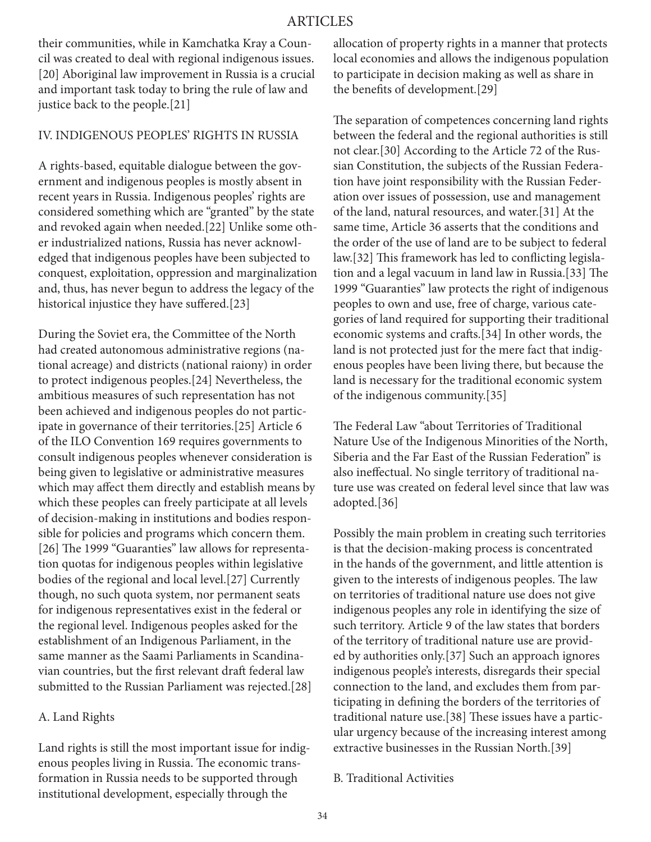## ARTICLES

their communities, while in Kamchatka Kray a Council was created to deal with regional indigenous issues. [20] Aboriginal law improvement in Russia is a crucial and important task today to bring the rule of law and justice back to the people.[21]

#### IV. INDIGENOUS PEOPLES' RIGHTS IN RUSSIA

A rights-based, equitable dialogue between the government and indigenous peoples is mostly absent in recent years in Russia. Indigenous peoples' rights are considered something which are "granted" by the state and revoked again when needed.[22] Unlike some other industrialized nations, Russia has never acknowledged that indigenous peoples have been subjected to conquest, exploitation, oppression and marginalization and, thus, has never begun to address the legacy of the historical injustice they have suffered.[23]

During the Soviet era, the Committee of the North had created autonomous administrative regions (national acreage) and districts (national raiony) in order to protect indigenous peoples.[24] Nevertheless, the ambitious measures of such representation has not been achieved and indigenous peoples do not participate in governance of their territories.[25] Article 6 of the ILO Convention 169 requires governments to consult indigenous peoples whenever consideration is being given to legislative or administrative measures which may affect them directly and establish means by which these peoples can freely participate at all levels of decision-making in institutions and bodies responsible for policies and programs which concern them. [26] The 1999 "Guaranties" law allows for representation quotas for indigenous peoples within legislative bodies of the regional and local level.[27] Currently though, no such quota system, nor permanent seats for indigenous representatives exist in the federal or the regional level. Indigenous peoples asked for the establishment of an Indigenous Parliament, in the same manner as the Saami Parliaments in Scandinavian countries, but the first relevant draft federal law submitted to the Russian Parliament was rejected.[28]

#### A. Land Rights

Land rights is still the most important issue for indigenous peoples living in Russia. The economic transformation in Russia needs to be supported through institutional development, especially through the

allocation of property rights in a manner that protects local economies and allows the indigenous population to participate in decision making as well as share in the benefits of development.[29]

The separation of competences concerning land rights between the federal and the regional authorities is still not clear.[30] According to the Article 72 of the Russian Constitution, the subjects of the Russian Federation have joint responsibility with the Russian Federation over issues of possession, use and management of the land, natural resources, and water.[31] At the same time, Article 36 asserts that the conditions and the order of the use of land are to be subject to federal law.[32] This framework has led to conflicting legislation and a legal vacuum in land law in Russia.[33] The 1999 "Guaranties" law protects the right of indigenous peoples to own and use, free of charge, various categories of land required for supporting their traditional economic systems and crafts.[34] In other words, the land is not protected just for the mere fact that indigenous peoples have been living there, but because the land is necessary for the traditional economic system of the indigenous community.[35]

The Federal Law "about Territories of Traditional Nature Use of the Indigenous Minorities of the North, Siberia and the Far East of the Russian Federation" is also ineffectual. No single territory of traditional nature use was created on federal level since that law was adopted.[36]

Possibly the main problem in creating such territories is that the decision-making process is concentrated in the hands of the government, and little attention is given to the interests of indigenous peoples. The law on territories of traditional nature use does not give indigenous peoples any role in identifying the size of such territory. Article 9 of the law states that borders of the territory of traditional nature use are provided by authorities only.[37] Such an approach ignores indigenous people's interests, disregards their special connection to the land, and excludes them from participating in defining the borders of the territories of traditional nature use.[38] These issues have a particular urgency because of the increasing interest among extractive businesses in the Russian North.[39]

#### B. Traditional Activities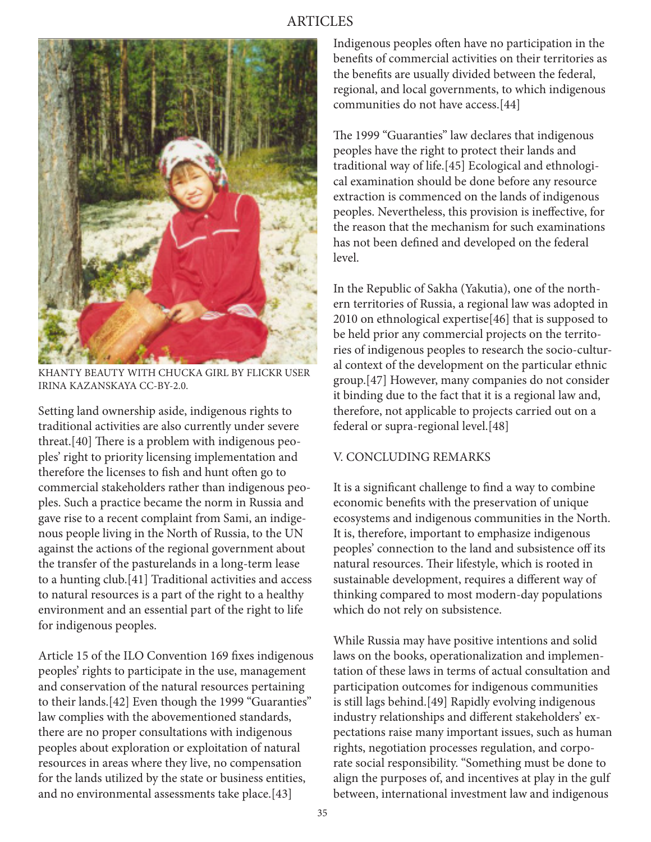

KHANTY BEAUTY WITH CHUCKA GIRL BY FLICKR USER IRINA KAZANSKAYA CC-BY-2.0.

Setting land ownership aside, indigenous rights to traditional activities are also currently under severe threat.[40] There is a problem with indigenous peoples' right to priority licensing implementation and therefore the licenses to fish and hunt often go to commercial stakeholders rather than indigenous peoples. Such a practice became the norm in Russia and gave rise to a recent complaint from Sami, an indigenous people living in the North of Russia, to the UN against the actions of the regional government about the transfer of the pasturelands in a long-term lease to a hunting club.[41] Traditional activities and access to natural resources is a part of the right to a healthy environment and an essential part of the right to life for indigenous peoples.

Article 15 of the ILO Convention 169 fixes indigenous peoples' rights to participate in the use, management and conservation of the natural resources pertaining to their lands.[42] Even though the 1999 "Guaranties" law complies with the abovementioned standards, there are no proper consultations with indigenous peoples about exploration or exploitation of natural resources in areas where they live, no compensation for the lands utilized by the state or business entities, and no environmental assessments take place.[43]

Indigenous peoples often have no participation in the benefits of commercial activities on their territories as the benefits are usually divided between the federal, regional, and local governments, to which indigenous communities do not have access.[44]

The 1999 "Guaranties" law declares that indigenous peoples have the right to protect their lands and traditional way of life.[45] Ecological and ethnological examination should be done before any resource extraction is commenced on the lands of indigenous peoples. Nevertheless, this provision is ineffective, for the reason that the mechanism for such examinations has not been defined and developed on the federal level.

In the Republic of Sakha (Yakutia), one of the northern territories of Russia, a regional law was adopted in 2010 on ethnological expertise[46] that is supposed to be held prior any commercial projects on the territories of indigenous peoples to research the socio-cultural context of the development on the particular ethnic group.[47] However, many companies do not consider it binding due to the fact that it is a regional law and, therefore, not applicable to projects carried out on a federal or supra-regional level.[48]

## V. CONCLUDING REMARKS

It is a significant challenge to find a way to combine economic benefits with the preservation of unique ecosystems and indigenous communities in the North. It is, therefore, important to emphasize indigenous peoples' connection to the land and subsistence off its natural resources. Their lifestyle, which is rooted in sustainable development, requires a different way of thinking compared to most modern-day populations which do not rely on subsistence.

While Russia may have positive intentions and solid laws on the books, operationalization and implementation of these laws in terms of actual consultation and participation outcomes for indigenous communities is still lags behind.[49] Rapidly evolving indigenous industry relationships and different stakeholders' expectations raise many important issues, such as human rights, negotiation processes regulation, and corporate social responsibility. "Something must be done to align the purposes of, and incentives at play in the gulf between, international investment law and indigenous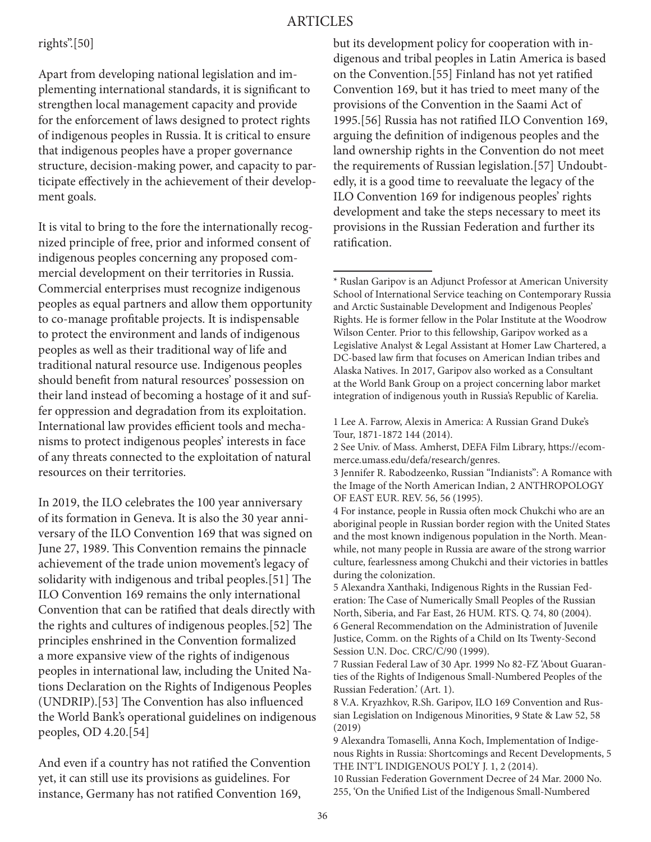## ARTICLES

## rights".[50]

Apart from developing national legislation and implementing international standards, it is significant to strengthen local management capacity and provide for the enforcement of laws designed to protect rights of indigenous peoples in Russia. It is critical to ensure that indigenous peoples have a proper governance structure, decision-making power, and capacity to participate effectively in the achievement of their development goals.

It is vital to bring to the fore the internationally recognized principle of free, prior and informed consent of indigenous peoples concerning any proposed commercial development on their territories in Russia. Commercial enterprises must recognize indigenous peoples as equal partners and allow them opportunity to co-manage profitable projects. It is indispensable to protect the environment and lands of indigenous peoples as well as their traditional way of life and traditional natural resource use. Indigenous peoples should benefit from natural resources' possession on their land instead of becoming a hostage of it and suffer oppression and degradation from its exploitation. International law provides efficient tools and mechanisms to protect indigenous peoples' interests in face of any threats connected to the exploitation of natural resources on their territories.

In 2019, the ILO celebrates the 100 year anniversary of its formation in Geneva. It is also the 30 year anniversary of the ILO Convention 169 that was signed on June 27, 1989. This Convention remains the pinnacle achievement of the trade union movement's legacy of solidarity with indigenous and tribal peoples.[51] The ILO Convention 169 remains the only international Convention that can be ratified that deals directly with the rights and cultures of indigenous peoples.[52] The principles enshrined in the Convention formalized a more expansive view of the rights of indigenous peoples in international law, including the United Nations Declaration on the Rights of Indigenous Peoples (UNDRIP).[53] The Convention has also influenced the World Bank's operational guidelines on indigenous peoples, OD 4.20.[54]

And even if a country has not ratified the Convention yet, it can still use its provisions as guidelines. For instance, Germany has not ratified Convention 169,

but its development policy for cooperation with indigenous and tribal peoples in Latin America is based on the Convention.[55] Finland has not yet ratified Convention 169, but it has tried to meet many of the provisions of the Convention in the Saami Act of 1995.[56] Russia has not ratified ILO Convention 169, arguing the definition of indigenous peoples and the land ownership rights in the Convention do not meet the requirements of Russian legislation.[57] Undoubtedly, it is a good time to reevaluate the legacy of the ILO Convention 169 for indigenous peoples' rights development and take the steps necessary to meet its provisions in the Russian Federation and further its ratification.

<sup>\*</sup> Ruslan Garipov is an Adjunct Professor at American University School of International Service teaching on Contemporary Russia and Arctic Sustainable Development and Indigenous Peoples' Rights. He is former fellow in the Polar Institute at the Woodrow Wilson Center. Prior to this fellowship, Garipov worked as a Legislative Analyst & Legal Assistant at Homer Law Chartered, a DC-based law firm that focuses on American Indian tribes and Alaska Natives. In 2017, Garipov also worked as a Consultant at the World Bank Group on a project concerning labor market integration of indigenous youth in Russia's Republic of Karelia.

<sup>1</sup> Lee A. Farrow, Alexis in America: A Russian Grand Duke's Tour, 1871-1872 144 (2014).

<sup>2</sup> See Univ. of Mass. Amherst, DEFA Film Library, https://ecommerce.umass.edu/defa/research/genres.

<sup>3</sup> Jennifer R. Rabodzeenko, Russian "Indianists": A Romance with the Image of the North American Indian, 2 ANTHROPOLOGY OF EAST EUR. REV. 56, 56 (1995).

<sup>4</sup> For instance, people in Russia often mock Chukchi who are an aboriginal people in Russian border region with the United States and the most known indigenous population in the North. Meanwhile, not many people in Russia are aware of the strong warrior culture, fearlessness among Chukchi and their victories in battles during the colonization.

<sup>5</sup> Alexandra Xanthaki, Indigenous Rights in the Russian Federation: The Case of Numerically Small Peoples of the Russian North, Siberia, and Far East, 26 HUM. RTS. Q. 74, 80 (2004). 6 General Recommendation on the Administration of Juvenile Justice, Comm. on the Rights of a Child on Its Twenty-Second Session U.N. Doc. CRC/C/90 (1999).

<sup>7</sup> Russian Federal Law of 30 Apr. 1999 No 82-FZ 'About Guaranties of the Rights of Indigenous Small-Numbered Peoples of the Russian Federation.' (Art. 1).

<sup>8</sup> V.A. Kryazhkov, R.Sh. Garipov, ILO 169 Convention and Russian Legislation on Indigenous Minorities, 9 State & Law 52, 58 (2019)

<sup>9</sup> Alexandra Tomaselli, Anna Koch, Implementation of Indigenous Rights in Russia: Shortcomings and Recent Developments, 5 THE INT'L INDIGENOUS POL'Y J. 1, 2 (2014).

<sup>10</sup> Russian Federation Government Decree of 24 Mar. 2000 No. 255, 'On the Unified List of the Indigenous Small-Numbered